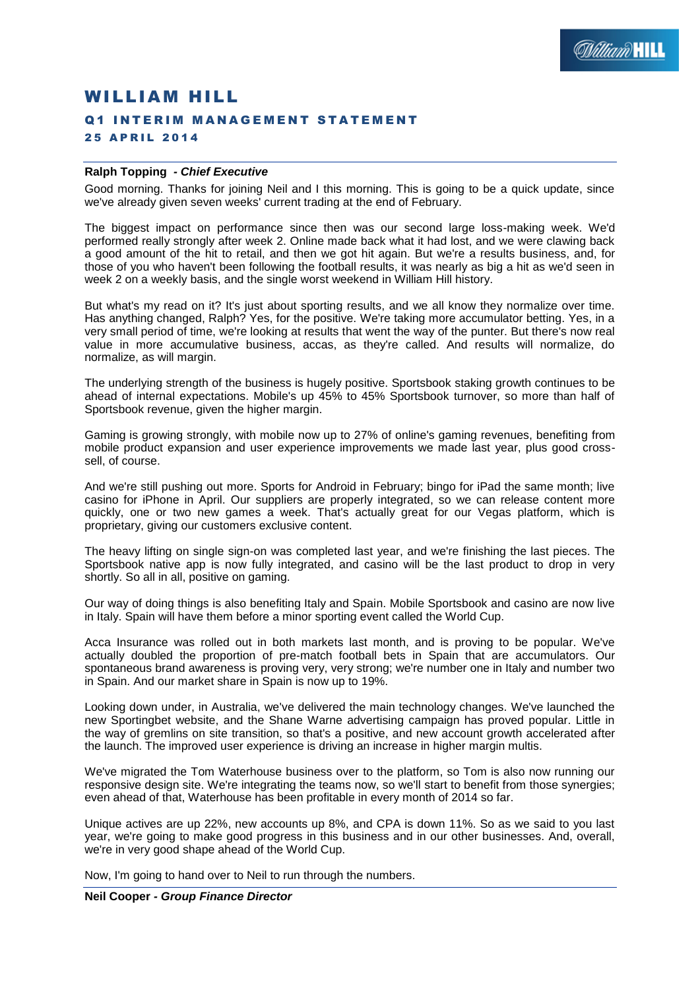# WILLIAM HILL Q1 INTERIM MANAGEMENT STATEMENT 25 APRIL 2014

## **Ralph Topping** *- Chief Executive*

Good morning. Thanks for joining Neil and I this morning. This is going to be a quick update, since we've already given seven weeks' current trading at the end of February.

The biggest impact on performance since then was our second large loss-making week. We'd performed really strongly after week 2. Online made back what it had lost, and we were clawing back a good amount of the hit to retail, and then we got hit again. But we're a results business, and, for those of you who haven't been following the football results, it was nearly as big a hit as we'd seen in week 2 on a weekly basis, and the single worst weekend in William Hill history.

But what's my read on it? It's just about sporting results, and we all know they normalize over time. Has anything changed, Ralph? Yes, for the positive. We're taking more accumulator betting. Yes, in a very small period of time, we're looking at results that went the way of the punter. But there's now real value in more accumulative business, accas, as they're called. And results will normalize, do normalize, as will margin.

The underlying strength of the business is hugely positive. Sportsbook staking growth continues to be ahead of internal expectations. Mobile's up 45% to 45% Sportsbook turnover, so more than half of Sportsbook revenue, given the higher margin.

Gaming is growing strongly, with mobile now up to 27% of online's gaming revenues, benefiting from mobile product expansion and user experience improvements we made last year, plus good crosssell, of course.

And we're still pushing out more. Sports for Android in February; bingo for iPad the same month; live casino for iPhone in April. Our suppliers are properly integrated, so we can release content more quickly, one or two new games a week. That's actually great for our Vegas platform, which is proprietary, giving our customers exclusive content.

The heavy lifting on single sign-on was completed last year, and we're finishing the last pieces. The Sportsbook native app is now fully integrated, and casino will be the last product to drop in very shortly. So all in all, positive on gaming.

Our way of doing things is also benefiting Italy and Spain. Mobile Sportsbook and casino are now live in Italy. Spain will have them before a minor sporting event called the World Cup.

Acca Insurance was rolled out in both markets last month, and is proving to be popular. We've actually doubled the proportion of pre-match football bets in Spain that are accumulators. Our spontaneous brand awareness is proving very, very strong; we're number one in Italy and number two in Spain. And our market share in Spain is now up to 19%.

Looking down under, in Australia, we've delivered the main technology changes. We've launched the new Sportingbet website, and the Shane Warne advertising campaign has proved popular. Little in the way of gremlins on site transition, so that's a positive, and new account growth accelerated after the launch. The improved user experience is driving an increase in higher margin multis.

We've migrated the Tom Waterhouse business over to the platform, so Tom is also now running our responsive design site. We're integrating the teams now, so we'll start to benefit from those synergies; even ahead of that, Waterhouse has been profitable in every month of 2014 so far.

Unique actives are up 22%, new accounts up 8%, and CPA is down 11%. So as we said to you last year, we're going to make good progress in this business and in our other businesses. And, overall, we're in very good shape ahead of the World Cup.

Now, I'm going to hand over to Neil to run through the numbers.

## **Neil Cooper** *- Group Finance Director*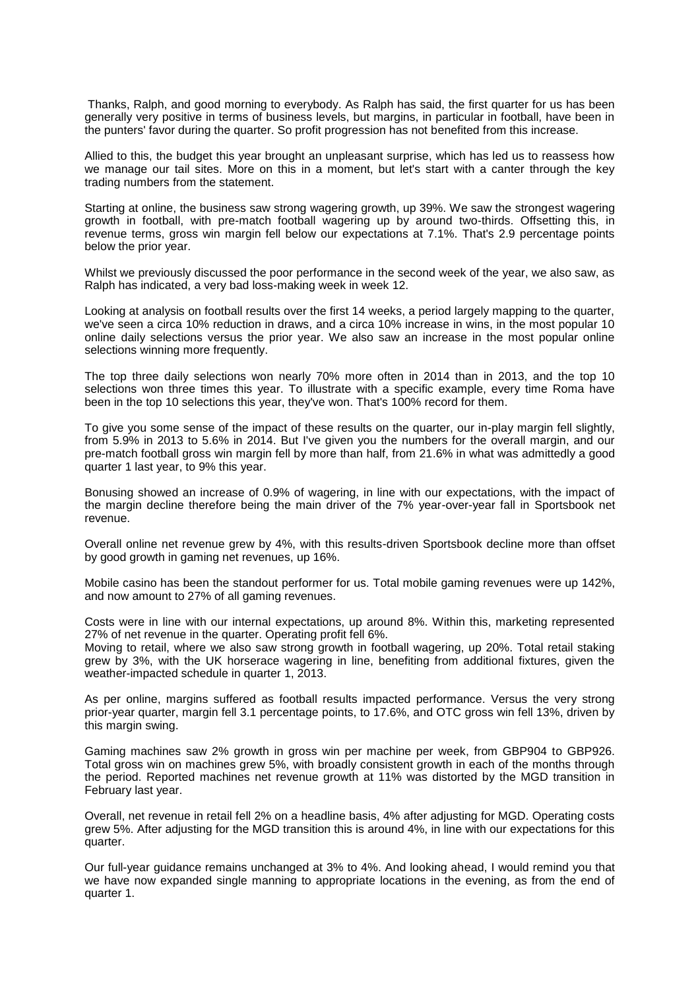Thanks, Ralph, and good morning to everybody. As Ralph has said, the first quarter for us has been generally very positive in terms of business levels, but margins, in particular in football, have been in the punters' favor during the quarter. So profit progression has not benefited from this increase.

Allied to this, the budget this year brought an unpleasant surprise, which has led us to reassess how we manage our tail sites. More on this in a moment, but let's start with a canter through the key trading numbers from the statement.

Starting at online, the business saw strong wagering growth, up 39%. We saw the strongest wagering growth in football, with pre-match football wagering up by around two-thirds. Offsetting this, in revenue terms, gross win margin fell below our expectations at 7.1%. That's 2.9 percentage points below the prior year.

Whilst we previously discussed the poor performance in the second week of the year, we also saw, as Ralph has indicated, a very bad loss-making week in week 12.

Looking at analysis on football results over the first 14 weeks, a period largely mapping to the quarter, we've seen a circa 10% reduction in draws, and a circa 10% increase in wins, in the most popular 10 online daily selections versus the prior year. We also saw an increase in the most popular online selections winning more frequently.

The top three daily selections won nearly 70% more often in 2014 than in 2013, and the top 10 selections won three times this year. To illustrate with a specific example, every time Roma have been in the top 10 selections this year, they've won. That's 100% record for them.

To give you some sense of the impact of these results on the quarter, our in-play margin fell slightly, from 5.9% in 2013 to 5.6% in 2014. But I've given you the numbers for the overall margin, and our pre-match football gross win margin fell by more than half, from 21.6% in what was admittedly a good quarter 1 last year, to 9% this year.

Bonusing showed an increase of 0.9% of wagering, in line with our expectations, with the impact of the margin decline therefore being the main driver of the 7% year-over-year fall in Sportsbook net revenue.

Overall online net revenue grew by 4%, with this results-driven Sportsbook decline more than offset by good growth in gaming net revenues, up 16%.

Mobile casino has been the standout performer for us. Total mobile gaming revenues were up 142%, and now amount to 27% of all gaming revenues.

Costs were in line with our internal expectations, up around 8%. Within this, marketing represented 27% of net revenue in the quarter. Operating profit fell 6%.

Moving to retail, where we also saw strong growth in football wagering, up 20%. Total retail staking grew by 3%, with the UK horserace wagering in line, benefiting from additional fixtures, given the weather-impacted schedule in quarter 1, 2013.

As per online, margins suffered as football results impacted performance. Versus the very strong prior-year quarter, margin fell 3.1 percentage points, to 17.6%, and OTC gross win fell 13%, driven by this margin swing.

Gaming machines saw 2% growth in gross win per machine per week, from GBP904 to GBP926. Total gross win on machines grew 5%, with broadly consistent growth in each of the months through the period. Reported machines net revenue growth at 11% was distorted by the MGD transition in February last year.

Overall, net revenue in retail fell 2% on a headline basis, 4% after adjusting for MGD. Operating costs grew 5%. After adjusting for the MGD transition this is around 4%, in line with our expectations for this quarter.

Our full-year guidance remains unchanged at 3% to 4%. And looking ahead, I would remind you that we have now expanded single manning to appropriate locations in the evening, as from the end of quarter 1.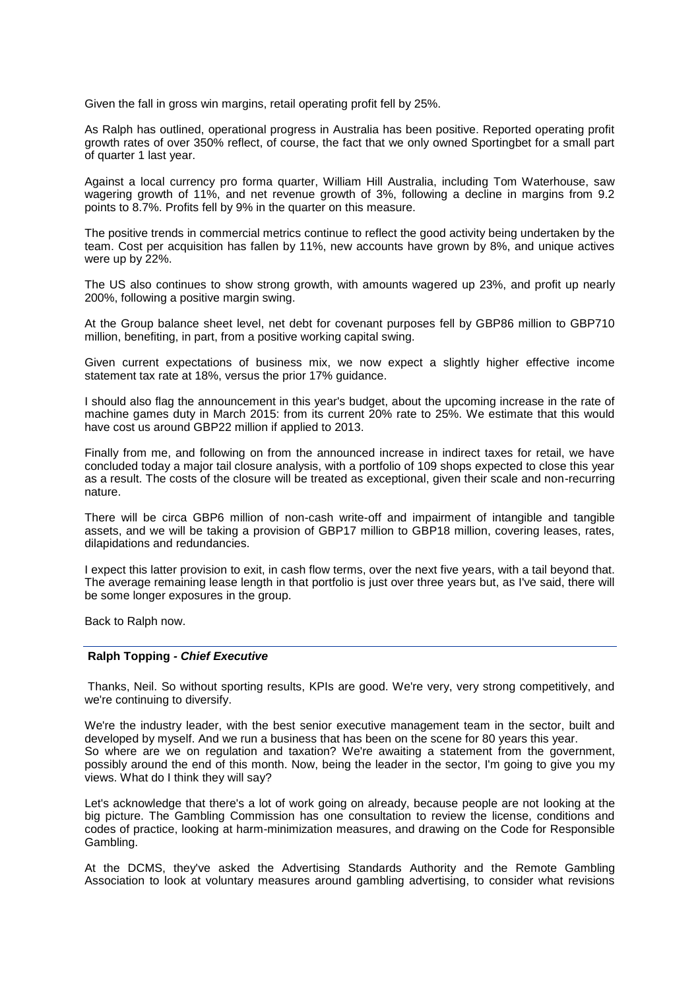Given the fall in gross win margins, retail operating profit fell by 25%.

As Ralph has outlined, operational progress in Australia has been positive. Reported operating profit growth rates of over 350% reflect, of course, the fact that we only owned Sportingbet for a small part of quarter 1 last year.

Against a local currency pro forma quarter, William Hill Australia, including Tom Waterhouse, saw wagering growth of 11%, and net revenue growth of 3%, following a decline in margins from 9.2 points to 8.7%. Profits fell by 9% in the quarter on this measure.

The positive trends in commercial metrics continue to reflect the good activity being undertaken by the team. Cost per acquisition has fallen by 11%, new accounts have grown by 8%, and unique actives were up by 22%.

The US also continues to show strong growth, with amounts wagered up 23%, and profit up nearly 200%, following a positive margin swing.

At the Group balance sheet level, net debt for covenant purposes fell by GBP86 million to GBP710 million, benefiting, in part, from a positive working capital swing.

Given current expectations of business mix, we now expect a slightly higher effective income statement tax rate at 18%, versus the prior 17% guidance.

I should also flag the announcement in this year's budget, about the upcoming increase in the rate of machine games duty in March 2015: from its current 20% rate to 25%. We estimate that this would have cost us around GBP22 million if applied to 2013.

Finally from me, and following on from the announced increase in indirect taxes for retail, we have concluded today a major tail closure analysis, with a portfolio of 109 shops expected to close this year as a result. The costs of the closure will be treated as exceptional, given their scale and non-recurring nature.

There will be circa GBP6 million of non-cash write-off and impairment of intangible and tangible assets, and we will be taking a provision of GBP17 million to GBP18 million, covering leases, rates, dilapidations and redundancies.

I expect this latter provision to exit, in cash flow terms, over the next five years, with a tail beyond that. The average remaining lease length in that portfolio is just over three years but, as I've said, there will be some longer exposures in the group.

Back to Ralph now.

#### **Ralph Topping** *- Chief Executive*

Thanks, Neil. So without sporting results, KPIs are good. We're very, very strong competitively, and we're continuing to diversify.

We're the industry leader, with the best senior executive management team in the sector, built and developed by myself. And we run a business that has been on the scene for 80 years this year. So where are we on regulation and taxation? We're awaiting a statement from the government, possibly around the end of this month. Now, being the leader in the sector, I'm going to give you my views. What do I think they will say?

Let's acknowledge that there's a lot of work going on already, because people are not looking at the big picture. The Gambling Commission has one consultation to review the license, conditions and codes of practice, looking at harm-minimization measures, and drawing on the Code for Responsible Gambling.

At the DCMS, they've asked the Advertising Standards Authority and the Remote Gambling Association to look at voluntary measures around gambling advertising, to consider what revisions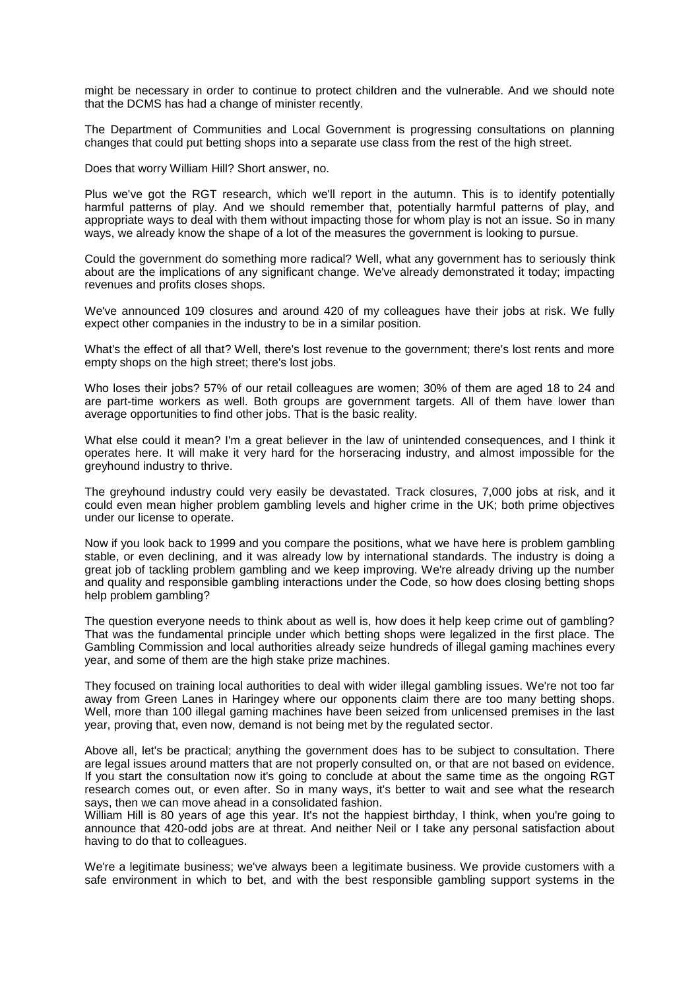might be necessary in order to continue to protect children and the vulnerable. And we should note that the DCMS has had a change of minister recently.

The Department of Communities and Local Government is progressing consultations on planning changes that could put betting shops into a separate use class from the rest of the high street.

Does that worry William Hill? Short answer, no.

Plus we've got the RGT research, which we'll report in the autumn. This is to identify potentially harmful patterns of play. And we should remember that, potentially harmful patterns of play, and appropriate ways to deal with them without impacting those for whom play is not an issue. So in many ways, we already know the shape of a lot of the measures the government is looking to pursue.

Could the government do something more radical? Well, what any government has to seriously think about are the implications of any significant change. We've already demonstrated it today; impacting revenues and profits closes shops.

We've announced 109 closures and around 420 of my colleagues have their jobs at risk. We fully expect other companies in the industry to be in a similar position.

What's the effect of all that? Well, there's lost revenue to the government; there's lost rents and more empty shops on the high street; there's lost jobs.

Who loses their jobs? 57% of our retail colleagues are women; 30% of them are aged 18 to 24 and are part-time workers as well. Both groups are government targets. All of them have lower than average opportunities to find other jobs. That is the basic reality.

What else could it mean? I'm a great believer in the law of unintended consequences, and I think it operates here. It will make it very hard for the horseracing industry, and almost impossible for the greyhound industry to thrive.

The greyhound industry could very easily be devastated. Track closures, 7,000 jobs at risk, and it could even mean higher problem gambling levels and higher crime in the UK; both prime objectives under our license to operate.

Now if you look back to 1999 and you compare the positions, what we have here is problem gambling stable, or even declining, and it was already low by international standards. The industry is doing a great job of tackling problem gambling and we keep improving. We're already driving up the number and quality and responsible gambling interactions under the Code, so how does closing betting shops help problem gambling?

The question everyone needs to think about as well is, how does it help keep crime out of gambling? That was the fundamental principle under which betting shops were legalized in the first place. The Gambling Commission and local authorities already seize hundreds of illegal gaming machines every year, and some of them are the high stake prize machines.

They focused on training local authorities to deal with wider illegal gambling issues. We're not too far away from Green Lanes in Haringey where our opponents claim there are too many betting shops. Well, more than 100 illegal gaming machines have been seized from unlicensed premises in the last year, proving that, even now, demand is not being met by the regulated sector.

Above all, let's be practical; anything the government does has to be subject to consultation. There are legal issues around matters that are not properly consulted on, or that are not based on evidence. If you start the consultation now it's going to conclude at about the same time as the ongoing RGT research comes out, or even after. So in many ways, it's better to wait and see what the research says, then we can move ahead in a consolidated fashion.

William Hill is 80 years of age this year. It's not the happiest birthday, I think, when you're going to announce that 420-odd jobs are at threat. And neither Neil or I take any personal satisfaction about having to do that to colleagues.

We're a legitimate business; we've always been a legitimate business. We provide customers with a safe environment in which to bet, and with the best responsible gambling support systems in the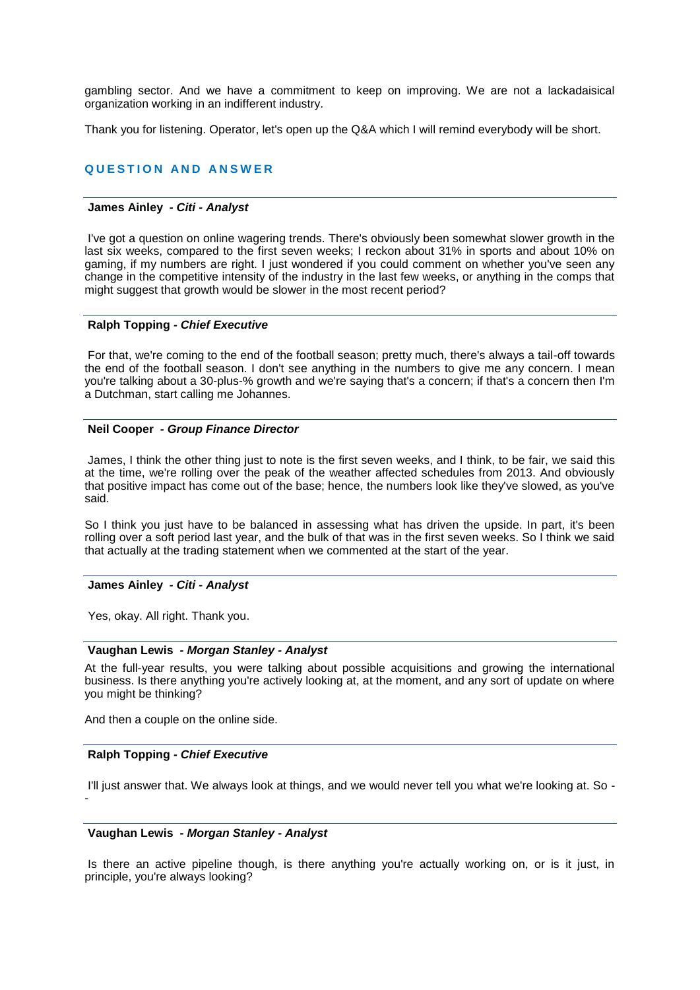gambling sector. And we have a commitment to keep on improving. We are not a lackadaisical organization working in an indifferent industry.

Thank you for listening. Operator, let's open up the Q&A which I will remind everybody will be short.

# **QUESTION AND ANSWER**

#### **James Ainley** *- Citi - Analyst*

I've got a question on online wagering trends. There's obviously been somewhat slower growth in the last six weeks, compared to the first seven weeks; I reckon about 31% in sports and about 10% on gaming, if my numbers are right. I just wondered if you could comment on whether you've seen any change in the competitive intensity of the industry in the last few weeks, or anything in the comps that might suggest that growth would be slower in the most recent period?

#### **Ralph Topping** *- Chief Executive*

For that, we're coming to the end of the football season; pretty much, there's always a tail-off towards the end of the football season. I don't see anything in the numbers to give me any concern. I mean you're talking about a 30-plus-% growth and we're saying that's a concern; if that's a concern then I'm a Dutchman, start calling me Johannes.

#### **Neil Cooper** *- Group Finance Director*

James, I think the other thing just to note is the first seven weeks, and I think, to be fair, we said this at the time, we're rolling over the peak of the weather affected schedules from 2013. And obviously that positive impact has come out of the base; hence, the numbers look like they've slowed, as you've said.

So I think you just have to be balanced in assessing what has driven the upside. In part, it's been rolling over a soft period last year, and the bulk of that was in the first seven weeks. So I think we said that actually at the trading statement when we commented at the start of the year.

# **James Ainley** *- Citi - Analyst*

Yes, okay. All right. Thank you.

## **Vaughan Lewis** *- Morgan Stanley - Analyst*

At the full-year results, you were talking about possible acquisitions and growing the international business. Is there anything you're actively looking at, at the moment, and any sort of update on where you might be thinking?

And then a couple on the online side.

#### **Ralph Topping** *- Chief Executive*

I'll just answer that. We always look at things, and we would never tell you what we're looking at. So - -

## **Vaughan Lewis** *- Morgan Stanley - Analyst*

Is there an active pipeline though, is there anything you're actually working on, or is it just, in principle, you're always looking?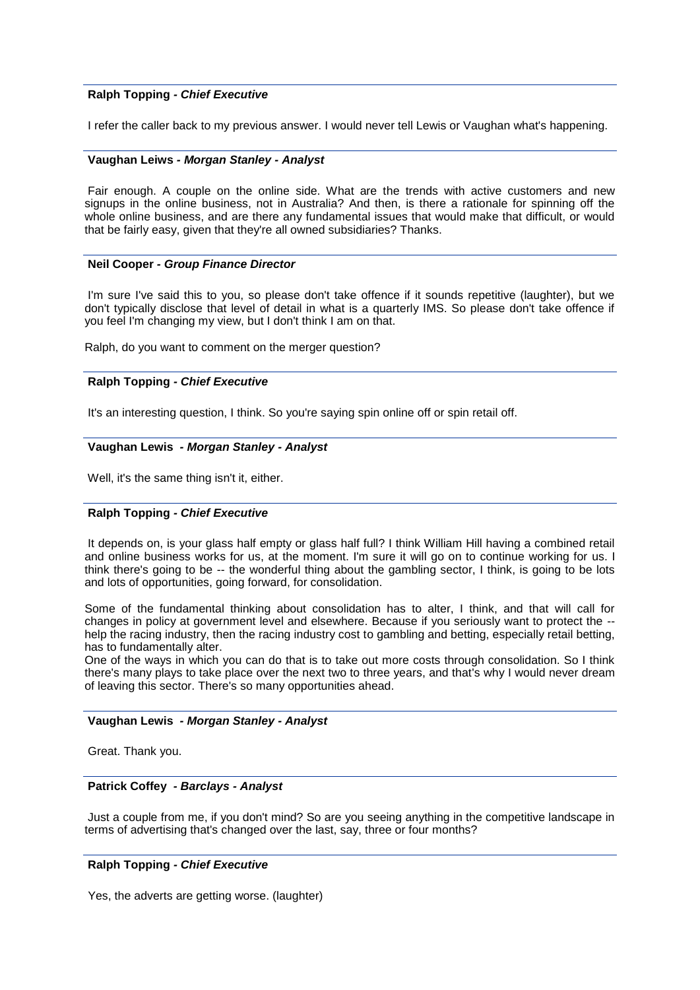## **Ralph Topping** *- Chief Executive*

I refer the caller back to my previous answer. I would never tell Lewis or Vaughan what's happening.

#### **Vaughan Leiws** *- Morgan Stanley - Analyst*

Fair enough. A couple on the online side. What are the trends with active customers and new signups in the online business, not in Australia? And then, is there a rationale for spinning off the whole online business, and are there any fundamental issues that would make that difficult, or would that be fairly easy, given that they're all owned subsidiaries? Thanks.

#### **Neil Cooper** *- Group Finance Director*

I'm sure I've said this to you, so please don't take offence if it sounds repetitive (laughter), but we don't typically disclose that level of detail in what is a quarterly IMS. So please don't take offence if you feel I'm changing my view, but I don't think I am on that.

Ralph, do you want to comment on the merger question?

## **Ralph Topping** *- Chief Executive*

It's an interesting question, I think. So you're saying spin online off or spin retail off.

#### **Vaughan Lewis** *- Morgan Stanley - Analyst*

Well, it's the same thing isn't it, either.

## **Ralph Topping** *- Chief Executive*

It depends on, is your glass half empty or glass half full? I think William Hill having a combined retail and online business works for us, at the moment. I'm sure it will go on to continue working for us. I think there's going to be -- the wonderful thing about the gambling sector, I think, is going to be lots and lots of opportunities, going forward, for consolidation.

Some of the fundamental thinking about consolidation has to alter, I think, and that will call for changes in policy at government level and elsewhere. Because if you seriously want to protect the - help the racing industry, then the racing industry cost to gambling and betting, especially retail betting, has to fundamentally alter.

One of the ways in which you can do that is to take out more costs through consolidation. So I think there's many plays to take place over the next two to three years, and that's why I would never dream of leaving this sector. There's so many opportunities ahead.

## **Vaughan Lewis** *- Morgan Stanley - Analyst*

Great. Thank you.

## **Patrick Coffey** *- Barclays - Analyst*

Just a couple from me, if you don't mind? So are you seeing anything in the competitive landscape in terms of advertising that's changed over the last, say, three or four months?

## **Ralph Topping** *- Chief Executive*

Yes, the adverts are getting worse. (laughter)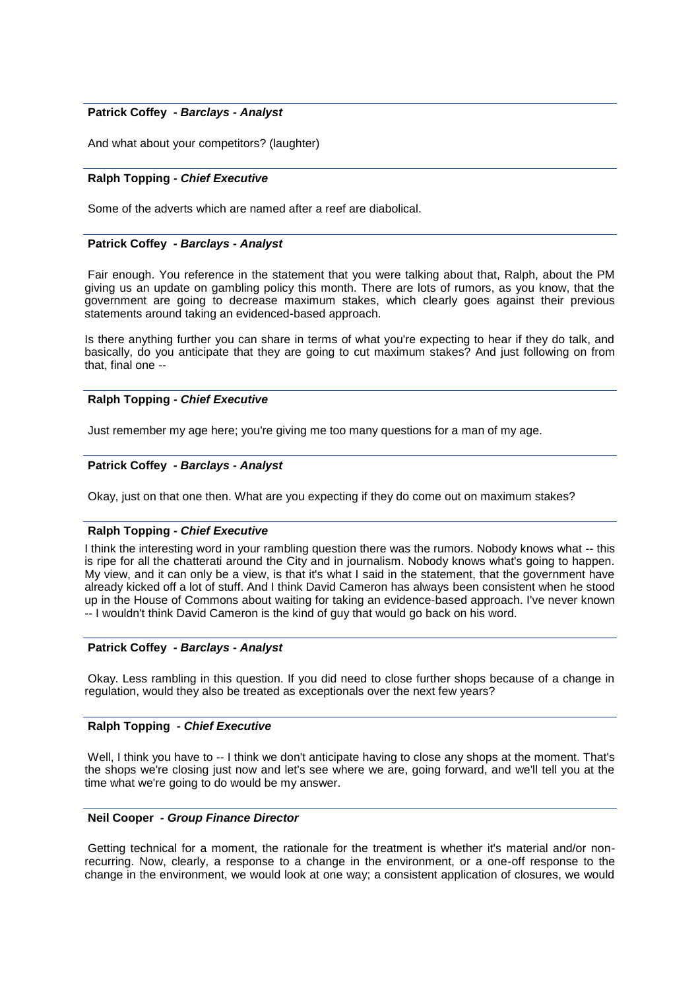## **Patrick Coffey** *- Barclays - Analyst*

And what about your competitors? (laughter)

## **Ralph Topping** *- Chief Executive*

Some of the adverts which are named after a reef are diabolical.

#### **Patrick Coffey** *- Barclays - Analyst*

Fair enough. You reference in the statement that you were talking about that, Ralph, about the PM giving us an update on gambling policy this month. There are lots of rumors, as you know, that the government are going to decrease maximum stakes, which clearly goes against their previous statements around taking an evidenced-based approach.

Is there anything further you can share in terms of what you're expecting to hear if they do talk, and basically, do you anticipate that they are going to cut maximum stakes? And just following on from that, final one --

## **Ralph Topping** *- Chief Executive*

Just remember my age here; you're giving me too many questions for a man of my age.

## **Patrick Coffey** *- Barclays - Analyst*

Okay, just on that one then. What are you expecting if they do come out on maximum stakes?

#### **Ralph Topping** *- Chief Executive*

I think the interesting word in your rambling question there was the rumors. Nobody knows what -- this is ripe for all the chatterati around the City and in journalism. Nobody knows what's going to happen. My view, and it can only be a view, is that it's what I said in the statement, that the government have already kicked off a lot of stuff. And I think David Cameron has always been consistent when he stood up in the House of Commons about waiting for taking an evidence-based approach. I've never known -- I wouldn't think David Cameron is the kind of guy that would go back on his word.

## **Patrick Coffey** *- Barclays - Analyst*

Okay. Less rambling in this question. If you did need to close further shops because of a change in regulation, would they also be treated as exceptionals over the next few years?

#### **Ralph Topping** *- Chief Executive*

Well, I think you have to -- I think we don't anticipate having to close any shops at the moment. That's the shops we're closing just now and let's see where we are, going forward, and we'll tell you at the time what we're going to do would be my answer.

#### **Neil Cooper** *- Group Finance Director*

Getting technical for a moment, the rationale for the treatment is whether it's material and/or nonrecurring. Now, clearly, a response to a change in the environment, or a one-off response to the change in the environment, we would look at one way; a consistent application of closures, we would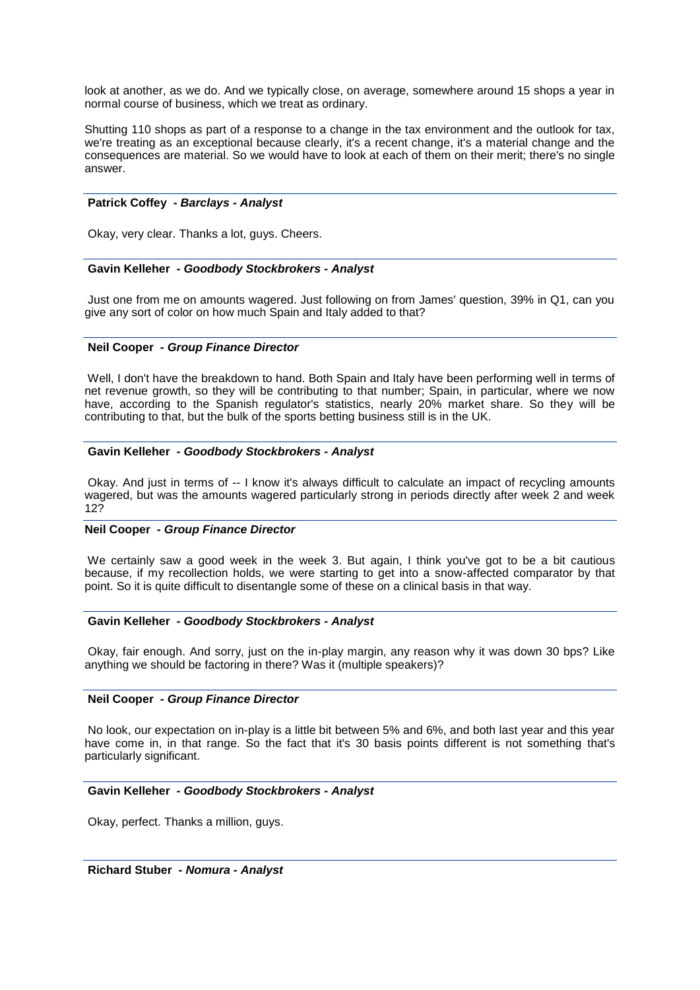look at another, as we do. And we typically close, on average, somewhere around 15 shops a year in normal course of business, which we treat as ordinary.

Shutting 110 shops as part of a response to a change in the tax environment and the outlook for tax, we're treating as an exceptional because clearly, it's a recent change, it's a material change and the consequences are material. So we would have to look at each of them on their merit; there's no single answer.

## **Patrick Coffey** *- Barclays - Analyst*

Okay, very clear. Thanks a lot, guys. Cheers.

#### **Gavin Kelleher** *- Goodbody Stockbrokers - Analyst*

Just one from me on amounts wagered. Just following on from James' question, 39% in Q1, can you give any sort of color on how much Spain and Italy added to that?

#### **Neil Cooper** *- Group Finance Director*

Well, I don't have the breakdown to hand. Both Spain and Italy have been performing well in terms of net revenue growth, so they will be contributing to that number; Spain, in particular, where we now have, according to the Spanish regulator's statistics, nearly 20% market share. So they will be contributing to that, but the bulk of the sports betting business still is in the UK.

## **Gavin Kelleher** *- Goodbody Stockbrokers - Analyst*

Okay. And just in terms of -- I know it's always difficult to calculate an impact of recycling amounts wagered, but was the amounts wagered particularly strong in periods directly after week 2 and week 12?

## **Neil Cooper** *- Group Finance Director*

We certainly saw a good week in the week 3. But again, I think you've got to be a bit cautious because, if my recollection holds, we were starting to get into a snow-affected comparator by that point. So it is quite difficult to disentangle some of these on a clinical basis in that way.

#### **Gavin Kelleher** *- Goodbody Stockbrokers - Analyst*

Okay, fair enough. And sorry, just on the in-play margin, any reason why it was down 30 bps? Like anything we should be factoring in there? Was it (multiple speakers)?

#### **Neil Cooper** *- Group Finance Director*

No look, our expectation on in-play is a little bit between 5% and 6%, and both last year and this year have come in, in that range. So the fact that it's 30 basis points different is not something that's particularly significant.

#### **Gavin Kelleher** *- Goodbody Stockbrokers - Analyst*

Okay, perfect. Thanks a million, guys.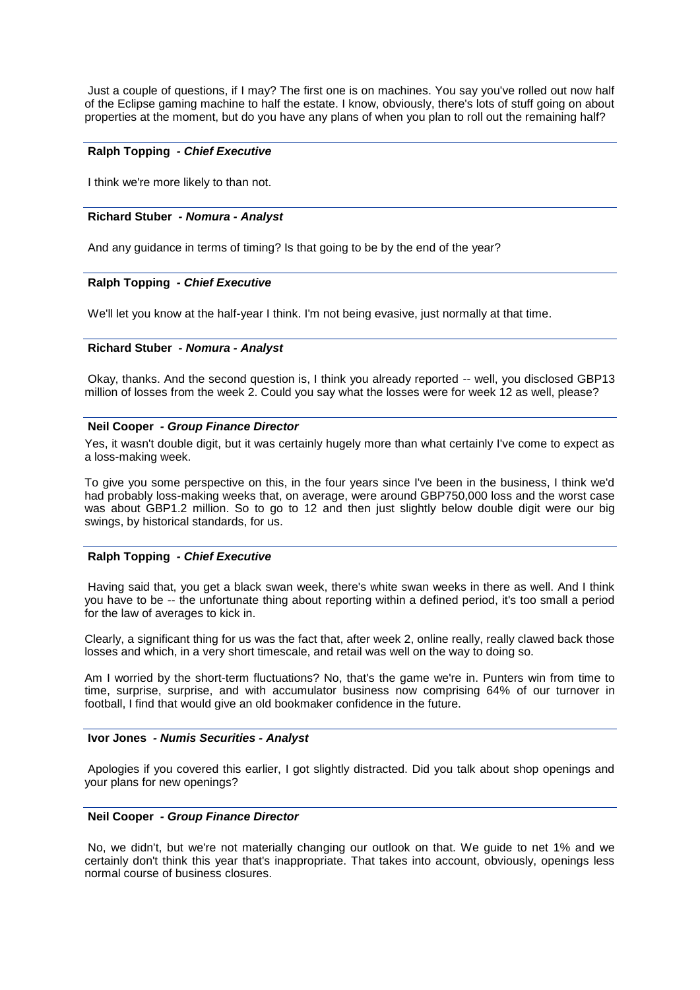Just a couple of questions, if I may? The first one is on machines. You say you've rolled out now half of the Eclipse gaming machine to half the estate. I know, obviously, there's lots of stuff going on about properties at the moment, but do you have any plans of when you plan to roll out the remaining half?

### **Ralph Topping** *- Chief Executive*

I think we're more likely to than not.

#### **Richard Stuber** *- Nomura - Analyst*

And any guidance in terms of timing? Is that going to be by the end of the year?

#### **Ralph Topping** *- Chief Executive*

We'll let you know at the half-year I think. I'm not being evasive, just normally at that time.

#### **Richard Stuber** *- Nomura - Analyst*

Okay, thanks. And the second question is, I think you already reported -- well, you disclosed GBP13 million of losses from the week 2. Could you say what the losses were for week 12 as well, please?

## **Neil Cooper** *- Group Finance Director*

Yes, it wasn't double digit, but it was certainly hugely more than what certainly I've come to expect as a loss-making week.

To give you some perspective on this, in the four years since I've been in the business, I think we'd had probably loss-making weeks that, on average, were around GBP750,000 loss and the worst case was about GBP1.2 million. So to go to 12 and then just slightly below double digit were our big swings, by historical standards, for us.

#### **Ralph Topping** *- Chief Executive*

Having said that, you get a black swan week, there's white swan weeks in there as well. And I think you have to be -- the unfortunate thing about reporting within a defined period, it's too small a period for the law of averages to kick in.

Clearly, a significant thing for us was the fact that, after week 2, online really, really clawed back those losses and which, in a very short timescale, and retail was well on the way to doing so.

Am I worried by the short-term fluctuations? No, that's the game we're in. Punters win from time to time, surprise, surprise, and with accumulator business now comprising 64% of our turnover in football, I find that would give an old bookmaker confidence in the future.

#### **Ivor Jones** *- Numis Securities - Analyst*

Apologies if you covered this earlier, I got slightly distracted. Did you talk about shop openings and your plans for new openings?

#### **Neil Cooper** *- Group Finance Director*

No, we didn't, but we're not materially changing our outlook on that. We guide to net 1% and we certainly don't think this year that's inappropriate. That takes into account, obviously, openings less normal course of business closures.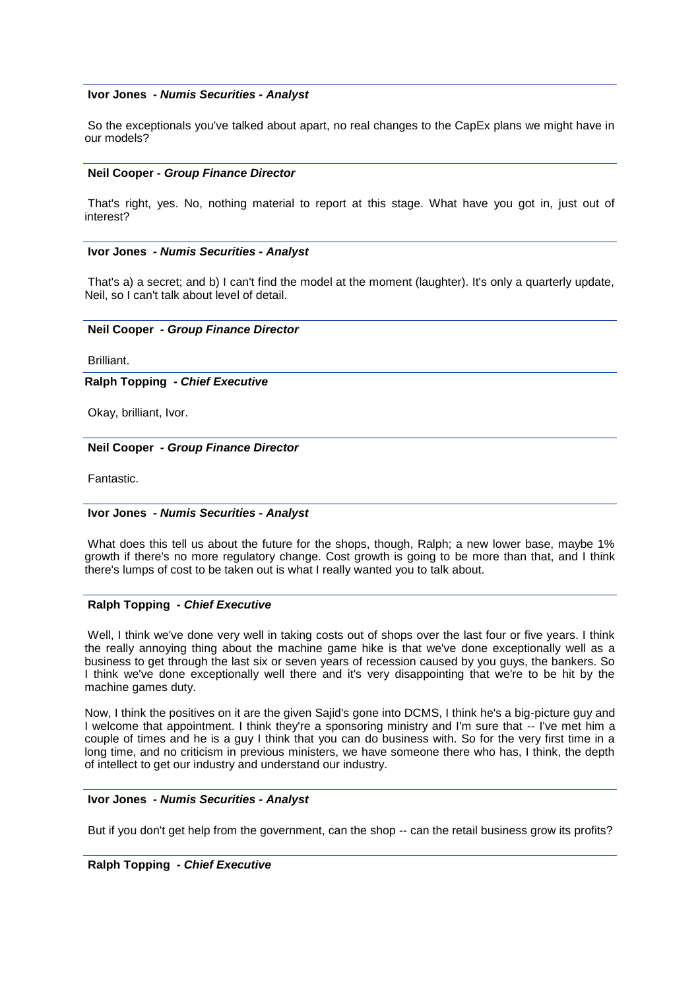#### **Ivor Jones** *- Numis Securities - Analyst*

So the exceptionals you've talked about apart, no real changes to the CapEx plans we might have in our models?

#### **Neil Cooper** *- Group Finance Director*

That's right, yes. No, nothing material to report at this stage. What have you got in, just out of interest?

## **Ivor Jones** *- Numis Securities - Analyst*

That's a) a secret; and b) I can't find the model at the moment (laughter). It's only a quarterly update, Neil, so I can't talk about level of detail.

#### **Neil Cooper** *- Group Finance Director*

Brilliant.

**Ralph Topping** *- Chief Executive* 

Okay, brilliant, Ivor.

#### **Neil Cooper** *- Group Finance Director*

Fantastic.

## **Ivor Jones** *- Numis Securities - Analyst*

What does this tell us about the future for the shops, though, Ralph; a new lower base, maybe 1% growth if there's no more regulatory change. Cost growth is going to be more than that, and I think there's lumps of cost to be taken out is what I really wanted you to talk about.

## **Ralph Topping** *- Chief Executive*

Well, I think we've done very well in taking costs out of shops over the last four or five years. I think the really annoying thing about the machine game hike is that we've done exceptionally well as a business to get through the last six or seven years of recession caused by you guys, the bankers. So I think we've done exceptionally well there and it's very disappointing that we're to be hit by the machine games duty.

Now, I think the positives on it are the given Sajid's gone into DCMS, I think he's a big-picture guy and I welcome that appointment. I think they're a sponsoring ministry and I'm sure that -- I've met him a couple of times and he is a guy I think that you can do business with. So for the very first time in a long time, and no criticism in previous ministers, we have someone there who has, I think, the depth of intellect to get our industry and understand our industry.

### **Ivor Jones** *- Numis Securities - Analyst*

But if you don't get help from the government, can the shop -- can the retail business grow its profits?